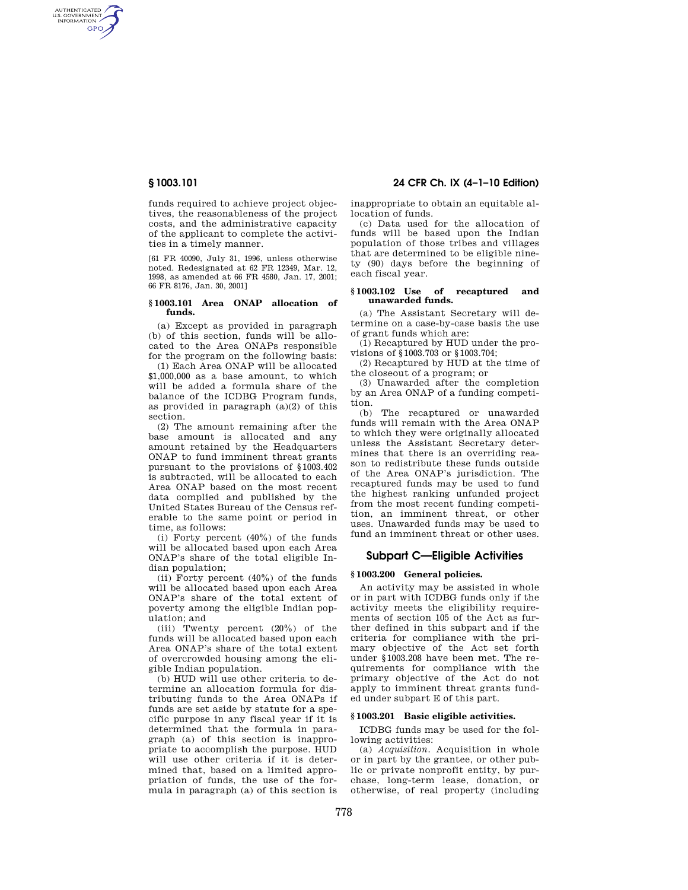AUTHENTICATED<br>U.S. GOVERNMENT<br>INFORMATION **GPO** 

> funds required to achieve project objectives, the reasonableness of the project costs, and the administrative capacity of the applicant to complete the activities in a timely manner.

> [61 FR 40090, July 31, 1996, unless otherwise noted. Redesignated at 62 FR 12349, Mar. 12, 1998, as amended at 66 FR 4580, Jan. 17, 2001; 66 FR 8176, Jan. 30, 2001]

#### **§ 1003.101 Area ONAP allocation of funds.**

(a) Except as provided in paragraph (b) of this section, funds will be allocated to the Area ONAPs responsible for the program on the following basis:

(1) Each Area ONAP will be allocated \$1,000,000 as a base amount, to which will be added a formula share of the balance of the ICDBG Program funds, as provided in paragraph  $(a)(2)$  of this section.

(2) The amount remaining after the base amount is allocated and any amount retained by the Headquarters ONAP to fund imminent threat grants pursuant to the provisions of §1003.402 is subtracted, will be allocated to each Area ONAP based on the most recent data complied and published by the United States Bureau of the Census referable to the same point or period in time, as follows:

(i) Forty percent (40%) of the funds will be allocated based upon each Area ONAP's share of the total eligible Indian population;

(ii) Forty percent  $(40\%)$  of the funds will be allocated based upon each Area ONAP's share of the total extent of poverty among the eligible Indian population; and

(iii) Twenty percent (20%) of the funds will be allocated based upon each Area ONAP's share of the total extent of overcrowded housing among the eligible Indian population.

(b) HUD will use other criteria to determine an allocation formula for distributing funds to the Area ONAPs if funds are set aside by statute for a specific purpose in any fiscal year if it is determined that the formula in paragraph (a) of this section is inappropriate to accomplish the purpose. HUD will use other criteria if it is determined that, based on a limited appropriation of funds, the use of the formula in paragraph (a) of this section is

# **§ 1003.101 24 CFR Ch. IX (4–1–10 Edition)**

inappropriate to obtain an equitable allocation of funds.

(c) Data used for the allocation of funds will be based upon the Indian population of those tribes and villages that are determined to be eligible ninety (90) days before the beginning of each fiscal year.

#### **§ 1003.102 Use of recaptured and unawarded funds.**

(a) The Assistant Secretary will determine on a case-by-case basis the use of grant funds which are:

(1) Recaptured by HUD under the provisions of §1003.703 or §1003.704;

(2) Recaptured by HUD at the time of the closeout of a program; or

(3) Unawarded after the completion by an Area ONAP of a funding competition.

(b) The recaptured or unawarded funds will remain with the Area ONAP to which they were originally allocated unless the Assistant Secretary determines that there is an overriding reason to redistribute these funds outside of the Area ONAP's jurisdiction. The recaptured funds may be used to fund the highest ranking unfunded project from the most recent funding competition, an imminent threat, or other uses. Unawarded funds may be used to fund an imminent threat or other uses.

# **Subpart C—Eligible Activities**

#### **§ 1003.200 General policies.**

An activity may be assisted in whole or in part with ICDBG funds only if the activity meets the eligibility requirements of section 105 of the Act as further defined in this subpart and if the criteria for compliance with the primary objective of the Act set forth under §1003.208 have been met. The requirements for compliance with the primary objective of the Act do not apply to imminent threat grants funded under subpart E of this part.

### **§ 1003.201 Basic eligible activities.**

ICDBG funds may be used for the following activities:

(a) *Acquisition.* Acquisition in whole or in part by the grantee, or other public or private nonprofit entity, by purchase, long-term lease, donation, or otherwise, of real property (including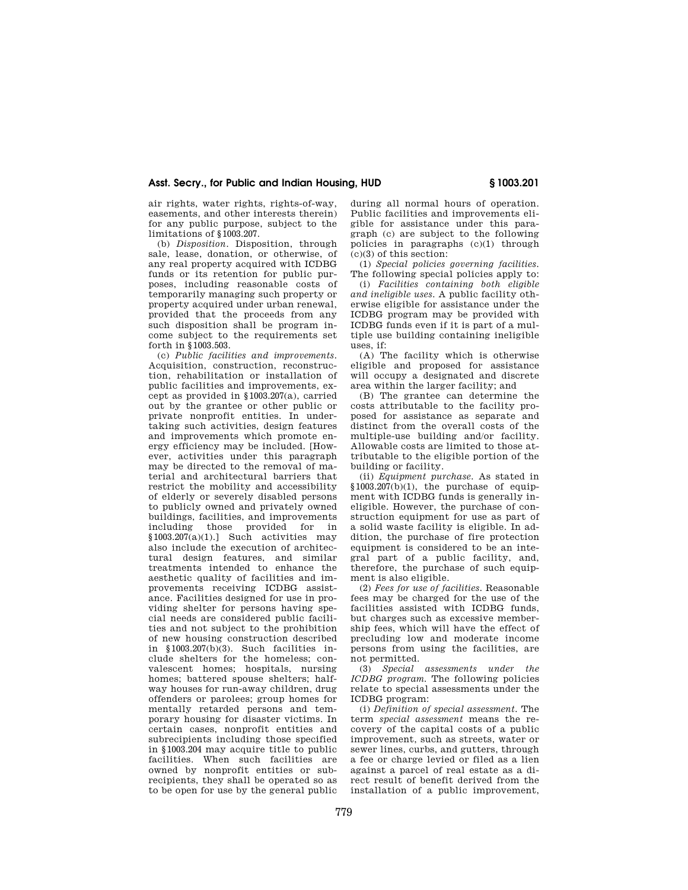## **Asst. Secry., for Public and Indian Housing, HUD § 1003.201**

air rights, water rights, rights-of-way, easements, and other interests therein) for any public purpose, subject to the limitations of §1003.207.

(b) *Disposition.* Disposition, through sale, lease, donation, or otherwise, of any real property acquired with ICDBG funds or its retention for public purposes, including reasonable costs of temporarily managing such property or property acquired under urban renewal, provided that the proceeds from any such disposition shall be program income subject to the requirements set forth in §1003.503.

(c) *Public facilities and improvements.*  Acquisition, construction, reconstruction, rehabilitation or installation of public facilities and improvements, except as provided in §1003.207(a), carried out by the grantee or other public or private nonprofit entities. In undertaking such activities, design features and improvements which promote energy efficiency may be included. [However, activities under this paragraph may be directed to the removal of material and architectural barriers that restrict the mobility and accessibility of elderly or severely disabled persons to publicly owned and privately owned buildings, facilities, and improvements including those provided for in  $$1003.207(a)(1).]$  Such activities may also include the execution of architectural design features, and similar treatments intended to enhance the aesthetic quality of facilities and improvements receiving ICDBG assistance. Facilities designed for use in providing shelter for persons having special needs are considered public facilities and not subject to the prohibition of new housing construction described in §1003.207(b)(3). Such facilities include shelters for the homeless; convalescent homes; hospitals, nursing homes; battered spouse shelters; halfway houses for run-away children, drug offenders or parolees; group homes for mentally retarded persons and temporary housing for disaster victims. In certain cases, nonprofit entities and subrecipients including those specified in §1003.204 may acquire title to public facilities. When such facilities are owned by nonprofit entities or subrecipients, they shall be operated so as to be open for use by the general public

during all normal hours of operation. Public facilities and improvements eligible for assistance under this paragraph (c) are subject to the following policies in paragraphs (c)(1) through (c)(3) of this section:

(1) *Special policies governing facilities.*  The following special policies apply to:

(i) *Facilities containing both eligible and ineligible uses.* A public facility otherwise eligible for assistance under the ICDBG program may be provided with ICDBG funds even if it is part of a multiple use building containing ineligible  $use$  if:

(A) The facility which is otherwise eligible and proposed for assistance will occupy a designated and discrete area within the larger facility; and

(B) The grantee can determine the costs attributable to the facility proposed for assistance as separate and distinct from the overall costs of the multiple-use building and/or facility. Allowable costs are limited to those attributable to the eligible portion of the building or facility.

(ii) *Equipment purchase.* As stated in  $$1003.207(b)(1)$ , the purchase of equipment with ICDBG funds is generally ineligible. However, the purchase of construction equipment for use as part of a solid waste facility is eligible. In addition, the purchase of fire protection equipment is considered to be an integral part of a public facility, and, therefore, the purchase of such equipment is also eligible.

(2) *Fees for use of facilities.* Reasonable fees may be charged for the use of the facilities assisted with ICDBG funds, but charges such as excessive membership fees, which will have the effect of precluding low and moderate income persons from using the facilities, are not permitted.

(3) *Special assessments under the ICDBG program.* The following policies relate to special assessments under the ICDBG program:

(i) *Definition of special assessment.* The term *special assessment* means the recovery of the capital costs of a public improvement, such as streets, water or sewer lines, curbs, and gutters, through a fee or charge levied or filed as a lien against a parcel of real estate as a direct result of benefit derived from the installation of a public improvement,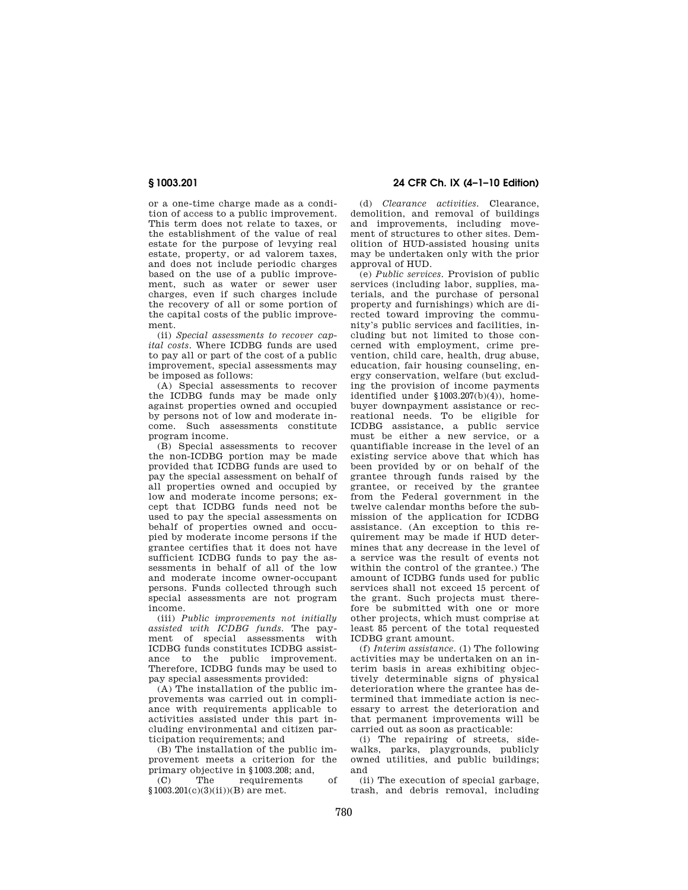or a one-time charge made as a condition of access to a public improvement. This term does not relate to taxes, or the establishment of the value of real estate for the purpose of levying real estate, property, or ad valorem taxes, and does not include periodic charges based on the use of a public improvement, such as water or sewer user charges, even if such charges include the recovery of all or some portion of the capital costs of the public improvement.

(ii) *Special assessments to recover capital costs.* Where ICDBG funds are used to pay all or part of the cost of a public improvement, special assessments may be imposed as follows:

(A) Special assessments to recover the ICDBG funds may be made only against properties owned and occupied by persons not of low and moderate income. Such assessments constitute program income.

(B) Special assessments to recover the non-ICDBG portion may be made provided that ICDBG funds are used to pay the special assessment on behalf of all properties owned and occupied by low and moderate income persons; except that ICDBG funds need not be used to pay the special assessments on behalf of properties owned and occupied by moderate income persons if the grantee certifies that it does not have sufficient ICDBG funds to pay the assessments in behalf of all of the low and moderate income owner-occupant persons. Funds collected through such special assessments are not program income.

(iii) *Public improvements not initially assisted with ICDBG funds.* The payment of special assessments with ICDBG funds constitutes ICDBG assistance to the public improvement. Therefore, ICDBG funds may be used to pay special assessments provided:

(A) The installation of the public improvements was carried out in compliance with requirements applicable to activities assisted under this part including environmental and citizen participation requirements; and

(B) The installation of the public improvement meets a criterion for the primary objective in §1003.208; and,<br>(C) The requirements

(C) The requirements of  $$1003.201(c)(3)(ii))(B)$  are met.

**§ 1003.201 24 CFR Ch. IX (4–1–10 Edition)** 

(d) *Clearance activities.* Clearance, demolition, and removal of buildings and improvements, including movement of structures to other sites. Demolition of HUD-assisted housing units may be undertaken only with the prior approval of HUD.

(e) *Public services.* Provision of public services (including labor, supplies, materials, and the purchase of personal property and furnishings) which are directed toward improving the community's public services and facilities, including but not limited to those concerned with employment, crime prevention, child care, health, drug abuse, education, fair housing counseling, energy conservation, welfare (but excluding the provision of income payments identified under §1003.207(b)(4)), homebuyer downpayment assistance or recreational needs. To be eligible for ICDBG assistance, a public service must be either a new service, or a quantifiable increase in the level of an existing service above that which has been provided by or on behalf of the grantee through funds raised by the grantee, or received by the grantee from the Federal government in the twelve calendar months before the submission of the application for ICDBG assistance. (An exception to this requirement may be made if HUD determines that any decrease in the level of a service was the result of events not within the control of the grantee.) The amount of ICDBG funds used for public services shall not exceed 15 percent of the grant. Such projects must therefore be submitted with one or more other projects, which must comprise at least 85 percent of the total requested ICDBG grant amount.

(f) *Interim assistance.* (1) The following activities may be undertaken on an interim basis in areas exhibiting objectively determinable signs of physical deterioration where the grantee has determined that immediate action is necessary to arrest the deterioration and that permanent improvements will be carried out as soon as practicable:

(i) The repairing of streets, sidewalks, parks, playgrounds, publicly owned utilities, and public buildings; and

(ii) The execution of special garbage, trash, and debris removal, including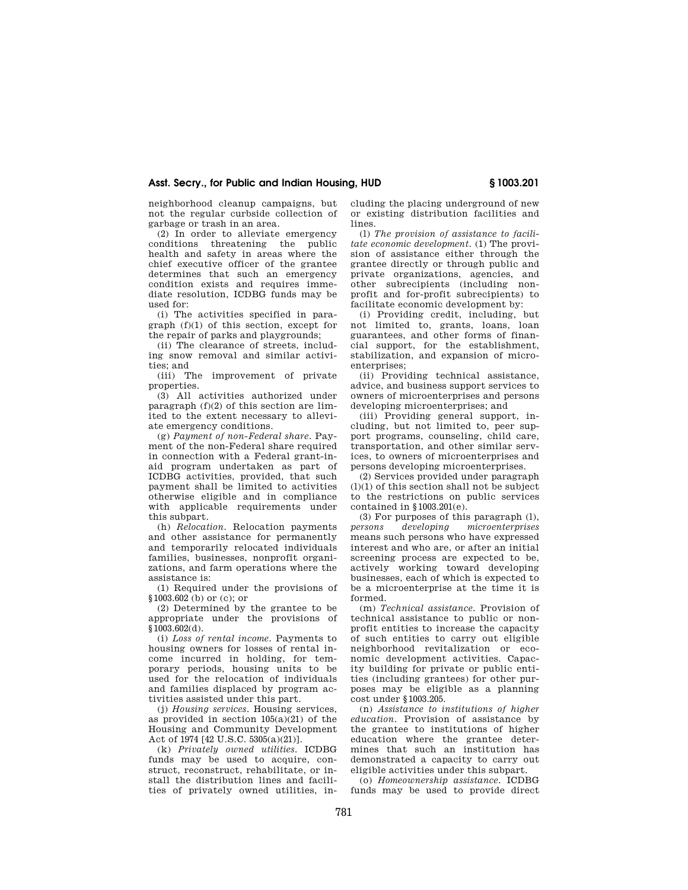## **Asst. Secry., for Public and Indian Housing, HUD § 1003.201**

neighborhood cleanup campaigns, but not the regular curbside collection of garbage or trash in an area.

(2) In order to alleviate emergency conditions threatening the public health and safety in areas where the chief executive officer of the grantee determines that such an emergency condition exists and requires immediate resolution, ICDBG funds may be used for:

(i) The activities specified in para $graph(f)(1)$  of this section, except for the repair of parks and playgrounds;

(ii) The clearance of streets, including snow removal and similar activities; and

(iii) The improvement of private properties.

(3) All activities authorized under paragraph (f)(2) of this section are limited to the extent necessary to alleviate emergency conditions.

(g) *Payment of non-Federal share.* Payment of the non-Federal share required in connection with a Federal grant-inaid program undertaken as part of ICDBG activities, provided, that such payment shall be limited to activities otherwise eligible and in compliance with applicable requirements under this subpart.

(h) *Relocation.* Relocation payments and other assistance for permanently and temporarily relocated individuals families, businesses, nonprofit organizations, and farm operations where the assistance is:

(1) Required under the provisions of §1003.602 (b) or (c); or

(2) Determined by the grantee to be appropriate under the provisions of  $§1003.602(d).$ 

(i) *Loss of rental income.* Payments to housing owners for losses of rental income incurred in holding, for temporary periods, housing units to be used for the relocation of individuals and families displaced by program activities assisted under this part.

(j) *Housing services.* Housing services, as provided in section  $105(a)(21)$  of the Housing and Community Development Act of 1974 [42 U.S.C. 5305(a)(21)].

(k) *Privately owned utilities.* ICDBG funds may be used to acquire, construct, reconstruct, rehabilitate, or install the distribution lines and facilities of privately owned utilities, including the placing underground of new or existing distribution facilities and lines.

(l) *The provision of assistance to facilitate economic development.* (1) The provision of assistance either through the grantee directly or through public and private organizations, agencies, and other subrecipients (including nonprofit and for-profit subrecipients) to facilitate economic development by:

(i) Providing credit, including, but not limited to, grants, loans, loan guarantees, and other forms of financial support, for the establishment, stabilization, and expansion of microenterprises;

(ii) Providing technical assistance, advice, and business support services to owners of microenterprises and persons developing microenterprises; and

(iii) Providing general support, including, but not limited to, peer support programs, counseling, child care, transportation, and other similar services, to owners of microenterprises and persons developing microenterprises.

(2) Services provided under paragraph  $(l)(1)$  of this section shall not be subject to the restrictions on public services contained in §1003.201(e).

(3) For purposes of this paragraph (l), *persons developing microenterprises*  means such persons who have expressed interest and who are, or after an initial screening process are expected to be, actively working toward developing businesses, each of which is expected to be a microenterprise at the time it is formed.

(m) *Technical assistance.* Provision of technical assistance to public or nonprofit entities to increase the capacity of such entities to carry out eligible neighborhood revitalization or economic development activities. Capacity building for private or public entities (including grantees) for other purposes may be eligible as a planning cost under §1003.205.

(n) *Assistance to institutions of higher education.* Provision of assistance by the grantee to institutions of higher education where the grantee determines that such an institution has demonstrated a capacity to carry out eligible activities under this subpart.

(o) *Homeownership assistance.* ICDBG funds may be used to provide direct